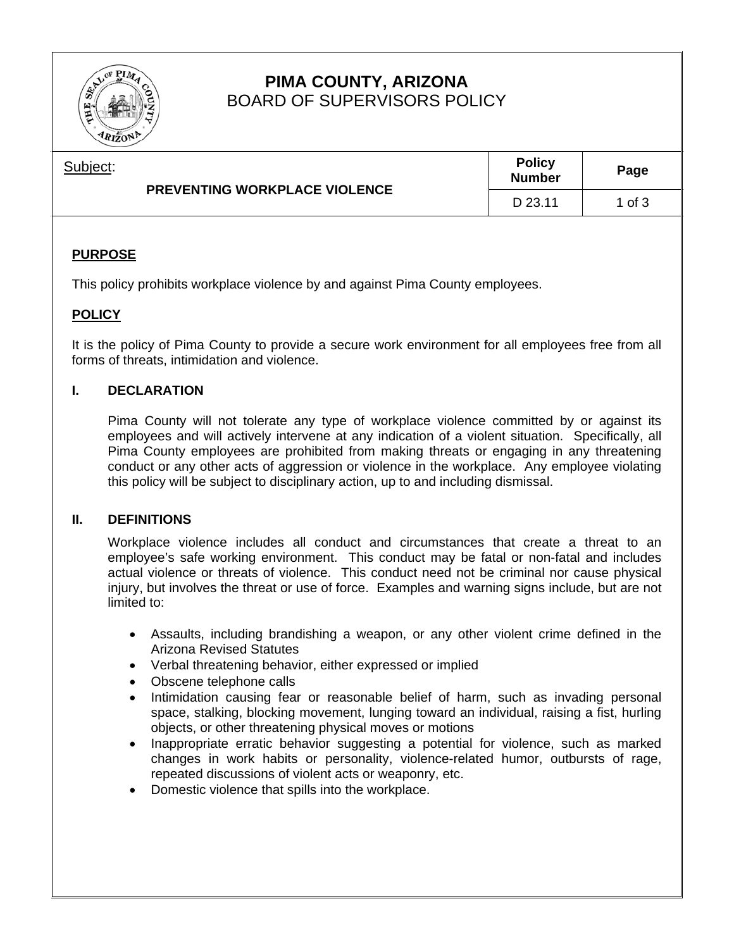

# **PIMA COUNTY, ARIZONA**  BOARD OF SUPERVISORS POLICY

| Subject: | <b>PREVENTING WORKPLACE VIOLENCE</b> | <b>Policy</b><br><b>Number</b> | Page     |
|----------|--------------------------------------|--------------------------------|----------|
|          |                                      | D 23.11                        | 1 of $3$ |

# **PURPOSE**

This policy prohibits workplace violence by and against Pima County employees.

# **POLICY**

It is the policy of Pima County to provide a secure work environment for all employees free from all forms of threats, intimidation and violence.

### **I. DECLARATION**

 Pima County will not tolerate any type of workplace violence committed by or against its employees and will actively intervene at any indication of a violent situation. Specifically, all Pima County employees are prohibited from making threats or engaging in any threatening conduct or any other acts of aggression or violence in the workplace. Any employee violating this policy will be subject to disciplinary action, up to and including dismissal.

#### **II. DEFINITIONS**

Workplace violence includes all conduct and circumstances that create a threat to an employee's safe working environment. This conduct may be fatal or non-fatal and includes actual violence or threats of violence. This conduct need not be criminal nor cause physical injury, but involves the threat or use of force. Examples and warning signs include, but are not limited to:

- Assaults, including brandishing a weapon, or any other violent crime defined in the Arizona Revised Statutes
- Verbal threatening behavior, either expressed or implied
- Obscene telephone calls
- Intimidation causing fear or reasonable belief of harm, such as invading personal space, stalking, blocking movement, lunging toward an individual, raising a fist, hurling objects, or other threatening physical moves or motions
- Inappropriate erratic behavior suggesting a potential for violence, such as marked changes in work habits or personality, violence-related humor, outbursts of rage, repeated discussions of violent acts or weaponry, etc.
- Domestic violence that spills into the workplace.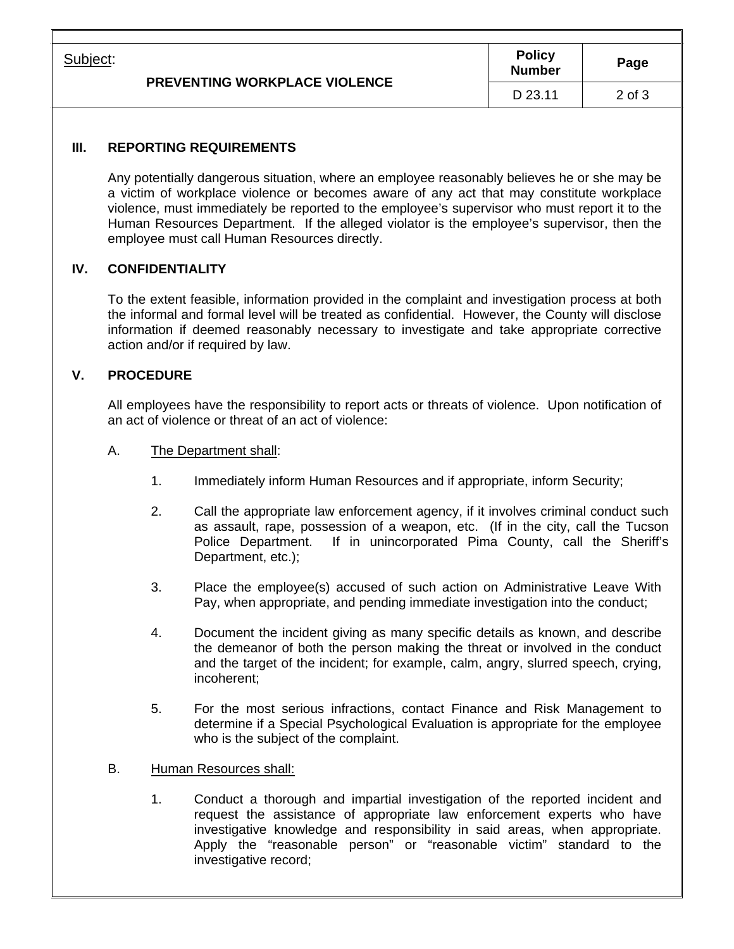| Subject: | <b>PREVENTING WORKPLACE VIOLENCE</b> | <b>Policy</b><br><b>Number</b> | Page       |
|----------|--------------------------------------|--------------------------------|------------|
|          |                                      | D 23.11                        | $2$ of $3$ |

## **III. REPORTING REQUIREMENTS**

Any potentially dangerous situation, where an employee reasonably believes he or she may be a victim of workplace violence or becomes aware of any act that may constitute workplace violence, must immediately be reported to the employee's supervisor who must report it to the Human Resources Department. If the alleged violator is the employee's supervisor, then the employee must call Human Resources directly.

### **IV. CONFIDENTIALITY**

To the extent feasible, information provided in the complaint and investigation process at both the informal and formal level will be treated as confidential. However, the County will disclose information if deemed reasonably necessary to investigate and take appropriate corrective action and/or if required by law.

# **V. PROCEDURE**

All employees have the responsibility to report acts or threats of violence. Upon notification of an act of violence or threat of an act of violence:

- A. The Department shall:
	- 1. Immediately inform Human Resources and if appropriate, inform Security;
	- 2. Call the appropriate law enforcement agency, if it involves criminal conduct such as assault, rape, possession of a weapon, etc. (If in the city, call the Tucson Police Department. If in unincorporated Pima County, call the Sheriff's Department, etc.);
	- 3. Place the employee(s) accused of such action on Administrative Leave With Pay, when appropriate, and pending immediate investigation into the conduct;
	- 4. Document the incident giving as many specific details as known, and describe the demeanor of both the person making the threat or involved in the conduct and the target of the incident; for example, calm, angry, slurred speech, crying, incoherent;
	- 5. For the most serious infractions, contact Finance and Risk Management to determine if a Special Psychological Evaluation is appropriate for the employee who is the subject of the complaint.
- B. Human Resources shall:
	- 1. Conduct a thorough and impartial investigation of the reported incident and request the assistance of appropriate law enforcement experts who have investigative knowledge and responsibility in said areas, when appropriate. Apply the "reasonable person" or "reasonable victim" standard to the investigative record;